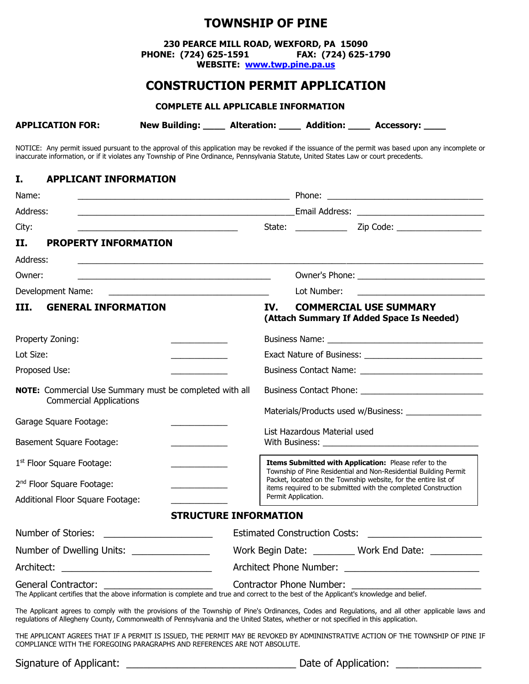# **TOWNSHIP OF PINE**

**230 PEARCE MILL ROAD, WEXFORD, PA 15090 PHONE: (724) 625-1591 FAX: (724) 625-1790**

**WEBSITE: [www.twp.pine.pa.us](http://www.twp.pine.pa.us/)**

## **CONSTRUCTION PERMIT APPLICATION**

#### **COMPLETE ALL APPLICABLE INFORMATION**

| <b>APPLICATION FOR:</b><br><b>New Building:</b><br><b>Addition:</b><br><b>Alteration:</b> | <b>Accessory:</b> |
|-------------------------------------------------------------------------------------------|-------------------|
|-------------------------------------------------------------------------------------------|-------------------|

NOTICE: Any permit issued pursuant to the approval of this application may be revoked if the issuance of the permit was based upon any incomplete or inaccurate information, or if it violates any Township of Pine Ordinance, Pennsylvania Statute, United States Law or court precedents.

#### **I. APPLICANT INFORMATION**

| Name:                                      |                                                                                                                                                                 |                                                                                                                                                                                                       |  |  |
|--------------------------------------------|-----------------------------------------------------------------------------------------------------------------------------------------------------------------|-------------------------------------------------------------------------------------------------------------------------------------------------------------------------------------------------------|--|--|
| Address:                                   |                                                                                                                                                                 | <b>Email Address: Email Address:</b>                                                                                                                                                                  |  |  |
| City:                                      |                                                                                                                                                                 |                                                                                                                                                                                                       |  |  |
| Н.                                         | <b>PROPERTY INFORMATION</b>                                                                                                                                     |                                                                                                                                                                                                       |  |  |
| Address:                                   |                                                                                                                                                                 |                                                                                                                                                                                                       |  |  |
| Owner:                                     |                                                                                                                                                                 |                                                                                                                                                                                                       |  |  |
|                                            | Development Name:                                                                                                                                               | Lot Number:                                                                                                                                                                                           |  |  |
| III.                                       | <b>GENERAL INFORMATION</b>                                                                                                                                      | IV.<br><b>COMMERCIAL USE SUMMARY</b><br>(Attach Summary If Added Space Is Needed)                                                                                                                     |  |  |
|                                            | Property Zoning:                                                                                                                                                |                                                                                                                                                                                                       |  |  |
| Lot Size:                                  |                                                                                                                                                                 |                                                                                                                                                                                                       |  |  |
|                                            | Proposed Use:                                                                                                                                                   |                                                                                                                                                                                                       |  |  |
|                                            | NOTE: Commercial Use Summary must be completed with all<br><b>Commercial Applications</b>                                                                       |                                                                                                                                                                                                       |  |  |
|                                            | Garage Square Footage:                                                                                                                                          | Materials/Products used w/Business: ____________________                                                                                                                                              |  |  |
| <b>Basement Square Footage:</b>            |                                                                                                                                                                 | List Hazardous Material used<br>With Business: _______________                                                                                                                                        |  |  |
| 1 <sup>st</sup> Floor Square Footage:      |                                                                                                                                                                 | Items Submitted with Application: Please refer to the                                                                                                                                                 |  |  |
| 2 <sup>nd</sup> Floor Square Footage:      |                                                                                                                                                                 | Township of Pine Residential and Non-Residential Building Permit<br>Packet, located on the Township website, for the entire list of<br>items required to be submitted with the completed Construction |  |  |
|                                            | Additional Floor Square Footage:                                                                                                                                | Permit Application.                                                                                                                                                                                   |  |  |
|                                            | <b>STRUCTURE INFORMATION</b>                                                                                                                                    |                                                                                                                                                                                                       |  |  |
|                                            | Number of Stories:<br><u> 1989 - Jan James James Jan James James James James James James James James James James James James James James Ja</u>                 |                                                                                                                                                                                                       |  |  |
| Number of Dwelling Units: ________________ |                                                                                                                                                                 | Work Begin Date: _________ Work End Date: ________                                                                                                                                                    |  |  |
|                                            |                                                                                                                                                                 |                                                                                                                                                                                                       |  |  |
|                                            | General Contractor:<br>The Applicant certifies that the above information is complete and true and correct to the best of the Applicant's knowledge and belief. | <b>Contractor Phone Number:</b>                                                                                                                                                                       |  |  |
|                                            | regulations of Allegheny County, Commonwealth of Pennsylvania and the United States, whether or not specified in this application.                              | The Applicant agrees to comply with the provisions of the Township of Pine's Ordinances, Codes and Regulations, and all other applicable laws and                                                     |  |  |

THE APPLICANT AGREES THAT IF A PERMIT IS ISSUED, THE PERMIT MAY BE REVOKED BY ADMININSTRATIVE ACTION OF THE TOWNSHIP OF PINE IF COMPLIANCE WITH THE FOREGOING PARAGRAPHS AND REFERENCES ARE NOT ABSOLUTE.

| Signature of Applicant: | Date of Application: |  |
|-------------------------|----------------------|--|
|-------------------------|----------------------|--|